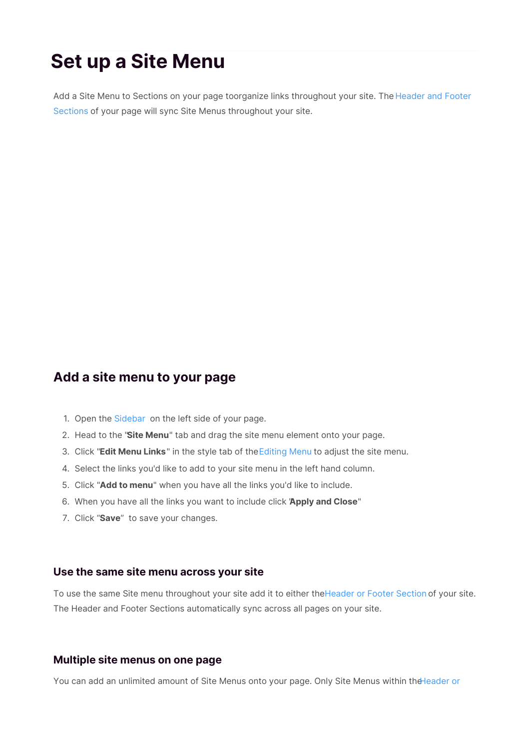# **Set up a Site Menu**

Add a Site Menu to Sections on your page toorganize links throughout your site. The Header and Footer Sections of your page will sync Site Menus throughout your site.

# **Add a site menu to your page**

- 1. Open the Sidebar on the left side of your page.
- 2. Head to the "**Site Menu**" tab and drag the site menu element onto your page.
- 3. Click "**Edit Menu Links**" in the style tab of theEditing Menu to adjust the site menu.
- 4. Select the links you'd like to add to your site menu in the left hand column.
- 5. Click "**Add to menu**" when you have all the links you'd like to include.
- 6. When you have all the links you want to include click "**Apply and Close**"
- 7. Click "**Save**" to save your changes.

## **Use the same site menu across your site**

To use the same Site menu throughout your site add it to either theHeader or Footer Section of your site. The Header and Footer Sections automatically sync across all pages on your site.

## **Multiple site menus on one page**

You can add an unlimited amount of Site Menus onto your page. Only Site Menus within the Header or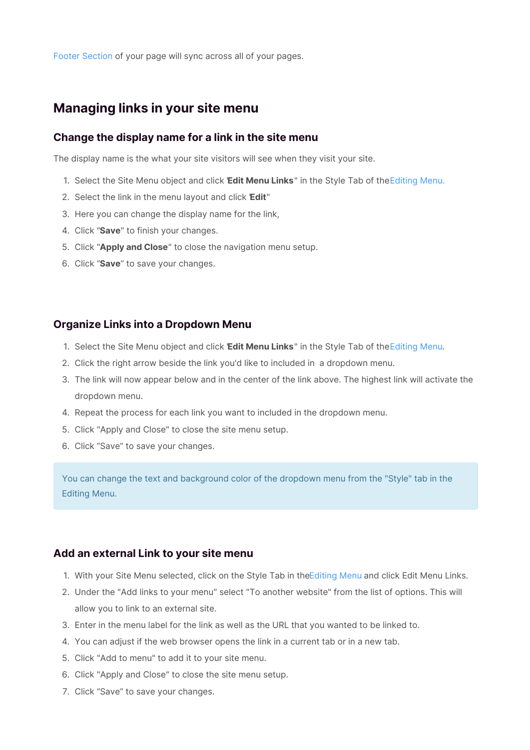Footer Section of your page will sync across all of your pages.

# **Managing links in your site menu**

#### **Change the display name for a link in the site menu**

The display name is the what your site visitors will see when they visit your site.

- 1. Select the Site Menu object and click "**Edit Menu Links**" in the Style Tab of theEditing Menu.
- 2. Select the link in the menu layout and click "**Edit**"
- 3. Here you can change the display name for the link,
- 4. Click "**Save**" to finish your changes.
- 5. Click "**Apply and Close**" to close the navigation menu setup.
- 6. Click "**Save**" to save your changes.

#### **Organize Links into a Dropdown Menu**

- 1. Select the Site Menu object and click "**Edit Menu Links**" in the Style Tab of theEditing Menu.
- 2. Click the right arrow beside the link you'd like to included in a dropdown menu.
- 3. The link will now appear below and in the center of the link above. The highest link will activate the dropdown menu.
- 4. Repeat the process for each link you want to included in the dropdown menu.
- 5. Click "Apply and Close" to close the site menu setup.
- 6. Click "Save" to save your changes.

You can change the text and background color of the dropdown menu from the "Style" tab in the Editing Menu.

## **Add an external Link to your site menu**

- 1. With your Site Menu selected, click on the Style Tab in theEditing Menu and click Edit Menu Links.
- 2. Under the "Add links to your menu" select "To another website" from the list of options. This will allow you to link to an external site.
- 3. Enter in the menu label for the link as well as the URL that you wanted to be linked to.
- 4. You can adjust if the web browser opens the link in a current tab or in a new tab.
- 5. Click "Add to menu" to add it to your site menu.
- 6. Click "Apply and Close" to close the site menu setup.
- 7. Click "Save" to save your changes.